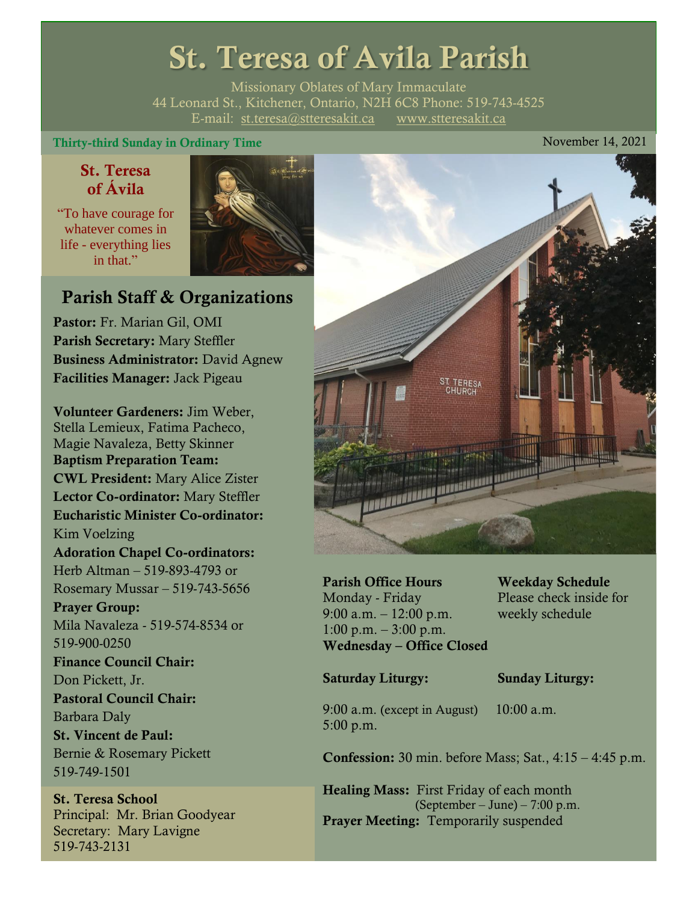# St. Teresa of Avila Parish

Missionary Oblates of Mary Immaculate 44 Leonard St., Kitchener, Ontario, N2H 6C8 Phone: 519-743-4525 E-mail: [st.teresa@stteresakit.ca](mailto:st.teresa@stteresakit.ca) [www.stteresakit.ca](http://www.stteresakit.ca/)

#### Thirty-third Sunday in Ordinary Time November 14, 2021

### St. Teresa of Ávila

"To have courage for whatever comes in life - everything lies in that"



### Parish Staff & Organizations

Pastor: Fr. Marian Gil, OMI Parish Secretary: Mary Steffler Business Administrator: David Agnew Facilities Manager: Jack Pigeau

Volunteer Gardeners: Jim Weber, Stella Lemieux, Fatima Pacheco, Magie Navaleza, Betty Skinner Baptism Preparation Team: CWL President: Mary Alice Zister Lector Co-ordinator: Mary Steffler Eucharistic Minister Co-ordinator: Kim Voelzing Adoration Chapel Co-ordinators: Herb Altman – 519-893-4793 or Rosemary Mussar – 519-743-5656 Prayer Group: Mila Navaleza - 519-574-8534 or 519-900-0250 Finance Council Chair: Don Pickett, Jr. Pastoral Council Chair: Barbara Daly St. Vincent de Paul: Bernie & Rosemary Pickett 519-749-1501

St. Teresa School Principal: Mr. Brian Goodyear Secretary: Mary Lavigne 519-743-2131



Parish Office Hours Weekday Schedule Monday - Friday Please check inside for 9:00 a.m. – 12:00 p.m. weekly schedule  $1:00 \text{ p.m.} - 3:00 \text{ p.m.}$ Wednesday – Office Closed

#### Saturday Liturgy: Sunday Liturgy:

9:00 a.m. (except in August) 10:00 a.m. 5:00 p.m.

Confession: 30 min. before Mass; Sat., 4:15 – 4:45 p.m.

Healing Mass: First Friday of each month (September – June) – 7:00 p.m. Prayer Meeting: Temporarily suspended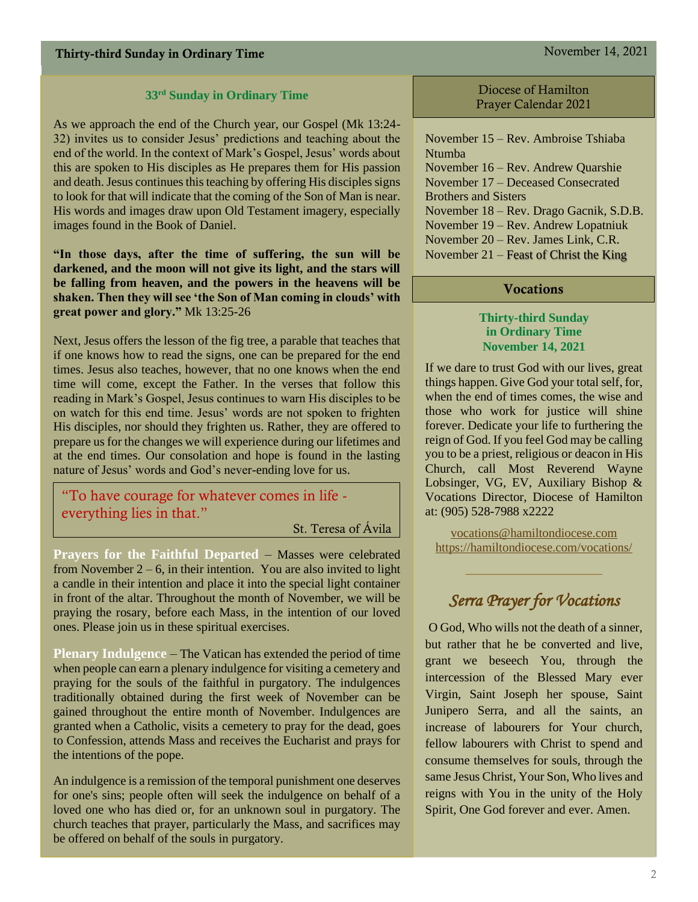#### **33rd Sunday in Ordinary Time**

As we approach the end of the Church year, our Gospel (Mk 13:24- 32) invites us to consider Jesus' predictions and teaching about the end of the world. In the context of Mark's Gospel, Jesus' words about this are spoken to His disciples as He prepares them for His passion and death. Jesus continues this teaching by offering His disciples signs to look for that will indicate that the coming of the Son of Man is near. His words and images draw upon Old Testament imagery, especially images found in the Book of Daniel.

**"In those days, after the time of suffering, the sun will be darkened, and the moon will not give its light, and the stars will be falling from heaven, and the powers in the heavens will be shaken. Then they will see 'the Son of Man coming in clouds' with great power and glory."** Mk 13:25-26

Next, Jesus offers the lesson of the fig tree, a parable that teaches that if one knows how to read the signs, one can be prepared for the end times. Jesus also teaches, however, that no one knows when the end time will come, except the Father. In the verses that follow this reading in Mark's Gospel, Jesus continues to warn His disciples to be on watch for this end time. Jesus' words are not spoken to frighten His disciples, nor should they frighten us. Rather, they are offered to prepare us for the changes we will experience during our lifetimes and at the end times. Our consolation and hope is found in the lasting nature of Jesus' words and God's never-ending love for us.

"To have courage for whatever comes in life everything lies in that."

St. Teresa of Ávila

**Prayers for the Faithful Departed** – Masses were celebrated from November  $2 - 6$ , in their intention. You are also invited to light a candle in their intention and place it into the special light container in front of the altar. Throughout the month of November, we will be praying the rosary, before each Mass, in the intention of our loved ones. Please join us in these spiritual exercises.

**Plenary Indulgence** – The Vatican has extended the period of time when people can earn a plenary indulgence for visiting a cemetery and praying for the souls of the faithful in purgatory. The indulgences traditionally obtained during the first week of November can be gained throughout the entire month of November. Indulgences are granted when a Catholic, visits a cemetery to pray for the dead, goes to Confession, attends Mass and receives the Eucharist and prays for the intentions of the pope.

An indulgence is a remission of the temporal punishment one deserves for one's sins; people often will seek the indulgence on behalf of a loved one who has died or, for an unknown soul in purgatory. The church teaches that prayer, particularly the Mass, and sacrifices may be offered on behalf of the souls in purgatory.

Diocese of Hamilton Prayer Calendar 2021

November 15 – Rev. Ambroise Tshiaba Ntumba November 16 – Rev. Andrew Quarshie November 17 – Deceased Consecrated Brothers and Sisters November 18 – Rev. Drago Gacnik, S.D.B. November 19 – Rev. Andrew Lopatniuk November 20 – Rev. James Link, C.R. November 21 – Feast of Christ the King

#### Vocations

#### **Thirty-third Sunday in Ordinary Time November 14, 2021**

If we dare to trust God with our lives, great things happen. Give God your total self, for, when the end of times comes, the wise and those who work for justice will shine forever. Dedicate your life to furthering the reign of God. If you feel God may be calling you to be a priest, religious or deacon in His Church, call Most Reverend Wayne Lobsinger, VG, EV, Auxiliary Bishop & Vocations Director, Diocese of Hamilton at: (905) 528-7988 x2222

[vocations@hamiltondiocese.com](mailto:vocations@hamiltondiocese.com)  <https://hamiltondiocese.com/vocations/>

### *Serra Prayer for Vocations*

O God, Who wills not the death of a sinner, but rather that he be converted and live, grant we beseech You, through the intercession of the Blessed Mary ever Virgin, Saint Joseph her spouse, Saint Junipero Serra, and all the saints, an increase of labourers for Your church, fellow labourers with Christ to spend and consume themselves for souls, through the same Jesus Christ, Your Son, Who lives and reigns with You in the unity of the Holy Spirit, One God forever and ever. Amen.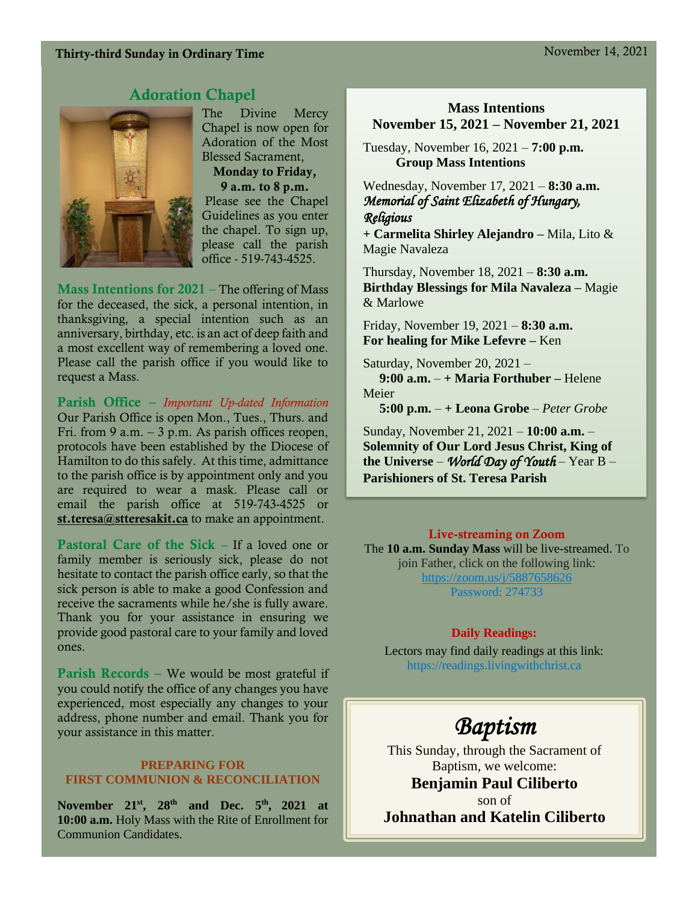### Thirty-third Sunday in Ordinary Time November 14, 2021

### Adoration Chapel



The Divine Mercy Chapel is now open for Adoration of the Most Blessed Sacrament, Monday to Friday, 9 a.m. to 8 p.m. Please see the Chapel Guidelines as you enter the chapel. To sign up, please call the parish office - 519-743-4525.

**Mass Intentions for 2021** – The offering of Mass for the deceased, the sick, a personal intention, in thanksgiving, a special intention such as an anniversary, birthday, etc. is an act of deep faith and a most excellent way of remembering a loved one. Please call the parish office if you would like to request a Mass.

Parish Office – *Important Up-dated Information*  Our Parish Office is open Mon., Tues., Thurs. and Fri. from 9 a.m.  $-3$  p.m. As parish offices reopen, protocols have been established by the Diocese of Hamilton to do this safely. At this time, admittance to the parish office is by appointment only and you are required to wear a mask. Please call or email the parish office at 519-743-4525 or [st.teresa@stteresakit.ca](mailto:st.teresa@stteresakit.ca) to make an appointment.

Pastoral Care of the Sick – If a loved one or family member is seriously sick, please do not hesitate to contact the parish office early, so that the sick person is able to make a good Confession and receive the sacraments while he/she is fully aware. Thank you for your assistance in ensuring we provide good pastoral care to your family and loved ones.

Parish Records – We would be most grateful if you could notify the office of any changes you have experienced, most especially any changes to your address, phone number and email. Thank you for your assistance in this matter.

#### **PREPARING FOR FIRST COMMUNION & RECONCILIATION**

**November 21st, 28th and Dec. 5th , 2021 at 10:00 a.m.** Holy Mass with the Rite of Enrollment for Communion Candidates.

#### **Mass Intentions November 15, 2021 – November 21, 2021**

Tuesday, November 16, 2021 – **7:00 p.m. Group Mass Intentions**

Wednesday, November 17, 2021 – **8:30 a.m.** *Memorial of Saint Elizabeth of Hungary, Religious* 

**+ Carmelita Shirley Alejandro –** Mila, Lito & Magie Navaleza

Thursday, November 18, 2021 – **8:30 a.m. Birthday Blessings for Mila Navaleza –** Magie & Marlowe

Friday, November 19, 2021 – **8:30 a.m.** **For healing for Mike Lefevre –** Ken

Saturday, November 20, 2021 –  **9:00 a.m.** – **+ Maria Forthuber –** Helene Meier

**5:00 p.m.** – **+ Leona Grobe** – *Peter Grobe*

Sunday, November 21, 2021 – **10:00 a.m.** – **Solemnity of Our Lord Jesus Christ, King of the Universe** – *World Day of Youth* – Year B – **Parishioners of St. Teresa Parish** 

#### Live-streaming on Zoom

The **10 a.m. Sunday Mass** will be live-streamed. To join Father, click on the following link: <https://zoom.us/j/5887658626> Password: 274733

#### **Daily Readings:**

Lectors may find daily readings at this link: https://readings.livingwithchrist.ca

## *Baptism*

This Sunday, through the Sacrament of Baptism, we welcome:

**Benjamin Paul Ciliberto**

son of **Johnathan and Katelin Ciliberto**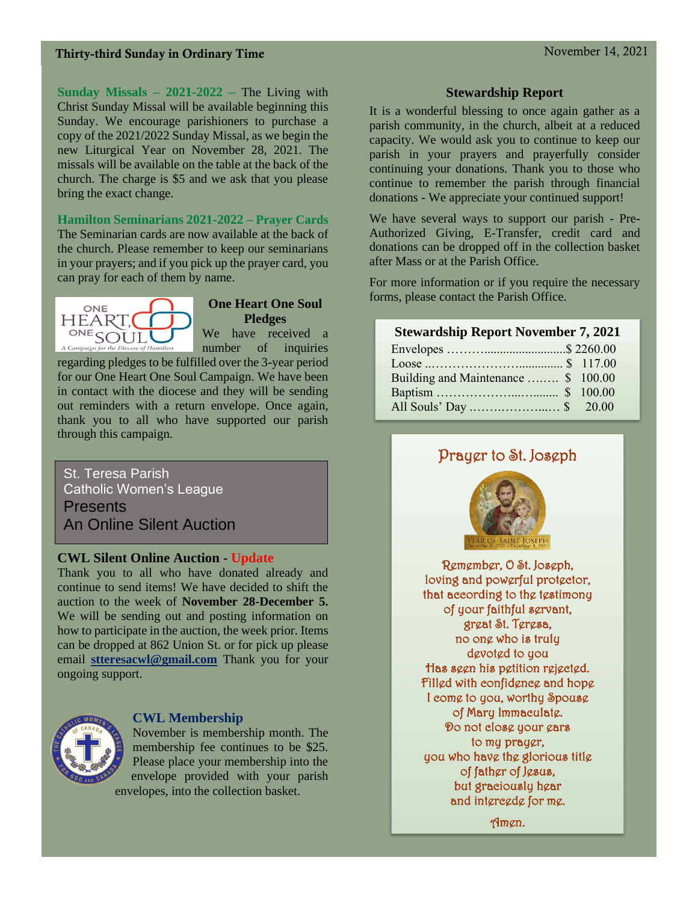### Thirty-third Sunday in Ordinary Time November 14, 2021

**Sunday Missals – 2021-2022 –** The Living with Christ Sunday Missal will be available beginning this Sunday. We encourage parishioners to purchase a copy of the 2021/2022 Sunday Missal, as we begin the new Liturgical Year on November 28, 2021. The missals will be available on the table at the back of the church. The charge is \$5 and we ask that you please bring the exact change.

**Hamilton Seminarians 2021-2022 – Prayer Cards**

The Seminarian cards are now available at the back of the church. Please remember to keep our seminarians in your prayers; and if you pick up the prayer card, you can pray for each of them by name.



#### **One Heart One Soul Pledges**

We have received a number of inquiries

regarding pledges to be fulfilled over the 3-year period for our One Heart One Soul Campaign. We have been in contact with the diocese and they will be sending out reminders with a return envelope. Once again, thank you to all who have supported our parish through this campaign.

St. Teresa Parish Catholic Women's League **Presents** An Online Silent Auction

#### **CWL Silent Online Auction - Update**

Thank you to all who have donated already and continue to send items! We have decided to shift the auction to the week of **November 28-December 5.** We will be sending out and posting information on how to participate in the auction, the week prior. Items can be dropped at 862 Union St. or for pick up please email **[stteresacwl@gmail.com](mailto:stteresacwl@gmail.com)** Thank you for your ongoing support.



#### **CWL Membership**

November is membership month. The membership fee continues to be \$25. Please place your membership into the envelope provided with your parish envelopes, into the collection basket.

#### **Stewardship Report**

It is a wonderful blessing to once again gather as a parish community, in the church, albeit at a reduced capacity. We would ask you to continue to keep our parish in your prayers and prayerfully consider continuing your donations. Thank you to those who continue to remember the parish through financial donations - We appreciate your continued support!

We have several ways to support our parish - Pre-Authorized Giving, E-Transfer, credit card and donations can be dropped off in the collection basket after Mass or at the Parish Office.

For more information or if you require the necessary forms, please contact the Parish Office.

#### **Stewardship Report November 7, 2021**

| Building and Maintenance  \$ 100.00 |  |
|-------------------------------------|--|
|                                     |  |
|                                     |  |

## Prayer to St. Joseph



Remember, O St. Joseph, loving and powerful protector, that according to the testimony of your faithful servant, great St. Teresa, no one who is truly devoted to you Has seen his petition rejected. Filled with confidence and hope I come to you, worthy Spouse of Mary Immaculate. Do not close your ears to my prayer, you who have the glorious title of father of Jesus, but graciously hear and intercede for me.

Amen.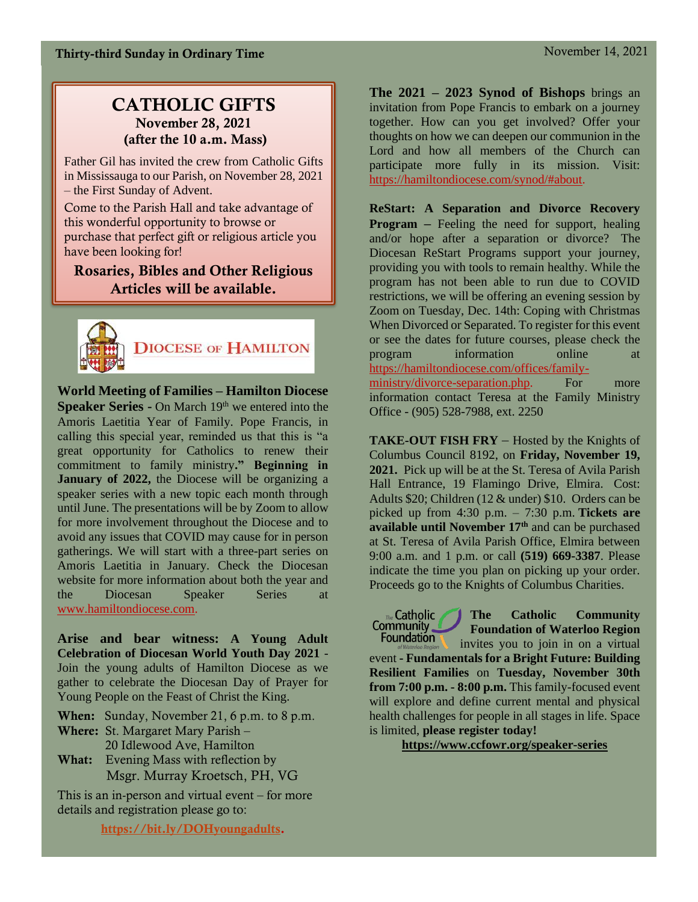### CATHOLIC GIFTS November 28, 2021 (after the 10 a.m. Mass)

Father Gil has invited the crew from Catholic Gifts in Mississauga to our Parish, on November 28, 2021 – the First Sunday of Advent.

Come to the Parish Hall and take advantage of this wonderful opportunity to browse or purchase that perfect gift or religious article you have been looking for!

### Rosaries, Bibles and Other Religious Articles will be available.



**World Meeting of Families – Hamilton Diocese Speaker Series -** On March 19<sup>th</sup> we entered into the Amoris Laetitia Year of Family. Pope Francis, in calling this special year, reminded us that this is "a great opportunity for Catholics to renew their commitment to family ministry**." Beginning in January of 2022,** the Diocese will be organizing a speaker series with a new topic each month through until June. The presentations will be by Zoom to allow for more involvement throughout the Diocese and to avoid any issues that COVID may cause for in person gatherings. We will start with a three-part series on Amoris Laetitia in January. Check the Diocesan website for more information about both the year and the Diocesan Speaker Series at [www.hamiltondiocese.com.](http://www.hamiltondiocese.com/)

**Arise and bear witness: A Young Adult Celebration of Diocesan World Youth Day 2021** - Join the young adults of Hamilton Diocese as we gather to celebrate the Diocesan Day of Prayer for Young People on the Feast of Christ the King.

When: Sunday, November 21, 6 p.m. to 8 p.m.

Where: St. Margaret Mary Parish – 20 Idlewood Ave, Hamilton

What: Evening Mass with reflection by Msgr. Murray Kroetsch, PH, VG

This is an in-person and virtual event – for more details and registration please go to:

[https://bit.ly/DOHyoungadults.](https://bit.ly/DOHyoungadults)

**The 2021 – 2023 Synod of Bishops** brings an invitation from Pope Francis to embark on a journey together. How can you get involved? Offer your thoughts on how we can deepen our communion in the Lord and how all members of the Church can participate more fully in its mission. Visit: [https://hamiltondiocese.com/synod/#about.](https://hamiltondiocese.com/synod/#about)

**ReStart: A Separation and Divorce Recovery Program –** Feeling the need for support, healing and/or hope after a separation or divorce? The Diocesan ReStart Programs support your journey, providing you with tools to remain healthy. While the program has not been able to run due to COVID restrictions, we will be offering an evening session by Zoom on Tuesday, Dec. 14th: Coping with Christmas When Divorced or Separated. To register for this event or see the dates for future courses, please check the program information online at [https://hamiltondiocese.com/offices/family](https://hamiltondiocese.com/offices/family-ministry/divorce-separation.php)[ministry/divorce-separation.php.](https://hamiltondiocese.com/offices/family-ministry/divorce-separation.php) For more information contact Teresa at the Family Ministry Office - (905) 528-7988, ext. 2250

**TAKE-OUT FISH FRY** – Hosted by the Knights of Columbus Council 8192, on **Friday, November 19, 2021.** Pick up will be at the St. Teresa of Avila Parish Hall Entrance, 19 Flamingo Drive, Elmira. Cost: Adults \$20; Children (12 & under) \$10. Orders can be picked up from 4:30 p.m. – 7:30 p.m. **Tickets are available until November 17th** and can be purchased at St. Teresa of Avila Parish Office, Elmira between 9:00 a.m. and 1 p.m. or call **(519) 669-3387**. Please indicate the time you plan on picking up your order. Proceeds go to the Knights of Columbus Charities.

Community **Foundation of Waterloo Region Foundation** invites you to join in on a virtual event **- Fundamentals for a Bright Future: Building Resilient Families** on **Tuesday, November 30th from 7:00 p.m. - 8:00 p.m.** This family-focused event will explore and define current mental and physical health challenges for people in all stages in life. Space is limited, **please register today!**

The Catholic

**The Catholic Community** 

**<https://www.ccfowr.org/speaker-series>**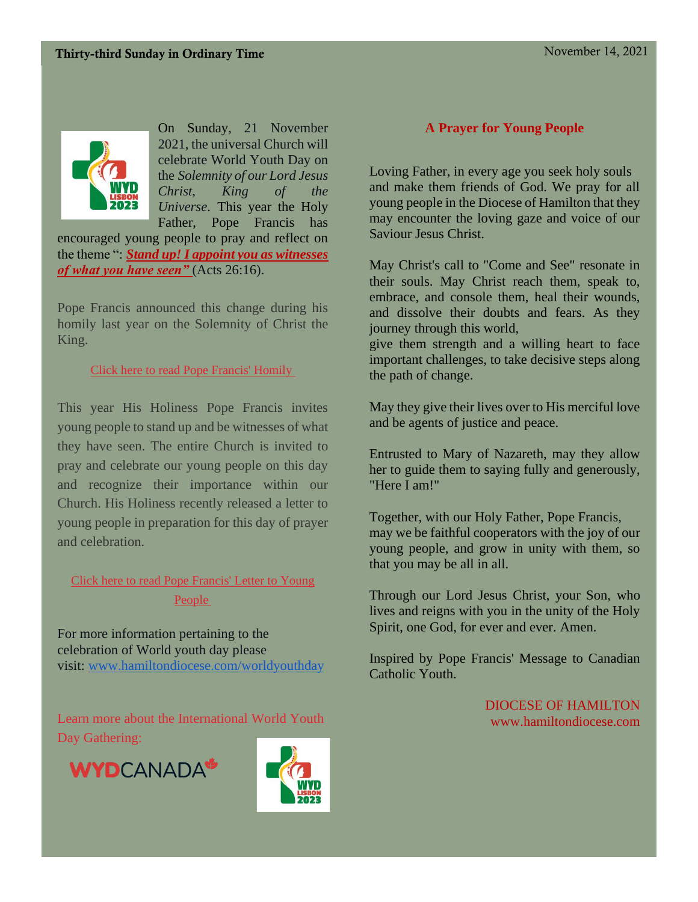

On Sunday, 21 November 2021, the universal Church will celebrate World Youth Day on the *Solemnity of our Lord Jesus Christ, King of the Universe*. This year the Holy Father, Pope Francis has

encouraged young people to pray and reflect on the theme ": *Stand up! I appoint you as witnesses of what you have seen"* (Acts 26:16).

Pope Francis announced this change during his homily last year on the Solemnity of Christ the King.

Click here to read Pope [Francis'](https://www.vatican.va/content/francesco/en/homilies/2020/documents/papa-francesco_20201122_omelia-passaggiocroce-gmg.html) Homily

This year His Holiness Pope Francis invites young people to stand up and be witnesses of what they have seen. The entire Church is invited to pray and celebrate our young people on this day and recognize their importance within our Church. His Holiness recently released a letter to young people in preparation for this day of prayer and celebration.

### Click here to read Pope [Francis'](http://www.laityfamilylife.va/content/laityfamilylife/en/GMGMESSAGE2021.html) Letter to Young [People](http://www.laityfamilylife.va/content/laityfamilylife/en/GMGMESSAGE2021.html)

For more information pertaining to the celebration of World youth day please visit: [www.hamiltondiocese.com/worldyouthday](http://www.hamiltondiocese.com/worldyouthday)

Learn more about the International World Youth Day [Gathering:](https://www.wydcanada.org/en/home/)





#### **A Prayer for Young People**

Loving Father, in every age you seek holy souls and make them friends of God. We pray for all young people in the Diocese of Hamilton that they may encounter the loving gaze and voice of our Saviour Jesus Christ.

May Christ's call to "Come and See" resonate in their souls. May Christ reach them, speak to, embrace, and console them, heal their wounds, and dissolve their doubts and fears. As they journey through this world,

give them strength and a willing heart to face important challenges, to take decisive steps along the path of change.

May they give their lives over to His merciful love and be agents of justice and peace.

Entrusted to Mary of Nazareth, may they allow her to guide them to saying fully and generously, "Here I am!"

Together, with our Holy Father, Pope Francis, may we be faithful cooperators with the joy of our young people, and grow in unity with them, so that you may be all in all.

Through our Lord Jesus Christ, your Son, who lives and reigns with you in the unity of the Holy Spirit, one God, for ever and ever. Amen.

Inspired by Pope Francis' Message to Canadian Catholic Youth.

> DIOCESE OF HAMILTON www.hamiltondiocese.com